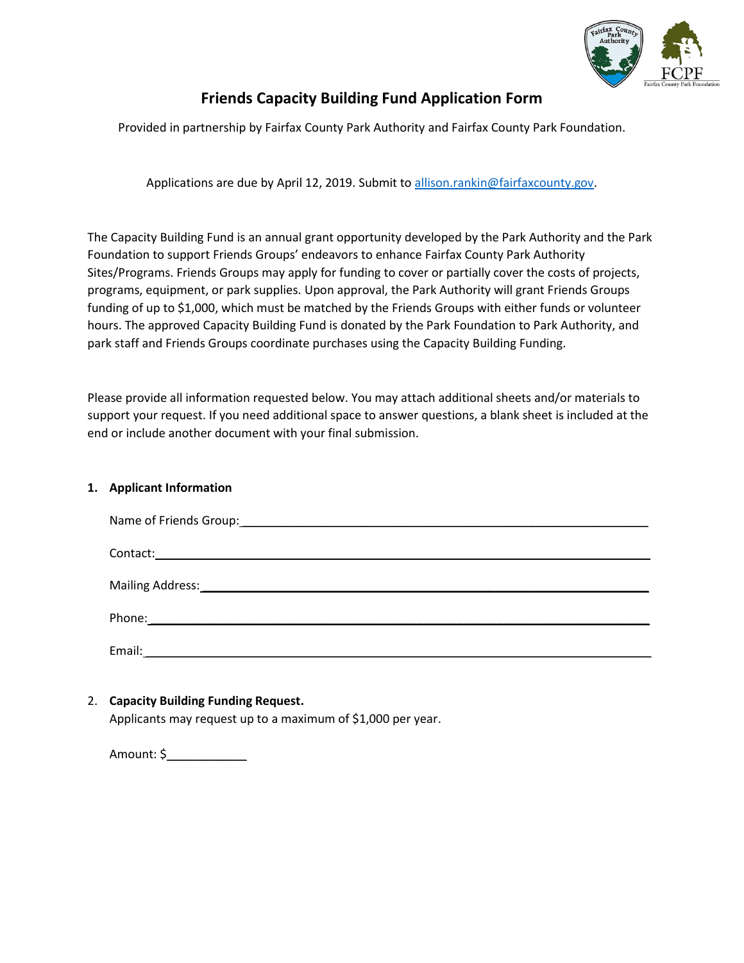

# **Friends Capacity Building Fund Application Form**

Provided in partnership by Fairfax County Park Authority and Fairfax County Park Foundation.

Applications are due by April 12, 2019. Submit to [allison.rankin@fairfaxcounty.gov.](mailto:allison.rankin@fairfaxcounty.gov)

The Capacity Building Fund is an annual grant opportunity developed by the Park Authority and the Park Foundation to support Friends Groups' endeavors to enhance Fairfax County Park Authority Sites/Programs. Friends Groups may apply for funding to cover or partially cover the costs of projects, programs, equipment, or park supplies. Upon approval, the Park Authority will grant Friends Groups funding of up to \$1,000, which must be matched by the Friends Groups with either funds or volunteer hours. The approved Capacity Building Fund is donated by the Park Foundation to Park Authority, and park staff and Friends Groups coordinate purchases using the Capacity Building Funding.

Please provide all information requested below. You may attach additional sheets and/or materials to support your request. If you need additional space to answer questions, a blank sheet is included at the end or include another document with your final submission.

### **1. Applicant Information**

| Email:<br><u> 1989 - Andrea Albert III, politik eta politik eta politik eta politik eta politik eta politik eta politik e</u> |
|-------------------------------------------------------------------------------------------------------------------------------|

### 2. **Capacity Building Funding Request.**

Applicants may request up to a maximum of \$1,000 per year.

Amount: \$\_\_\_\_\_\_\_\_\_\_\_\_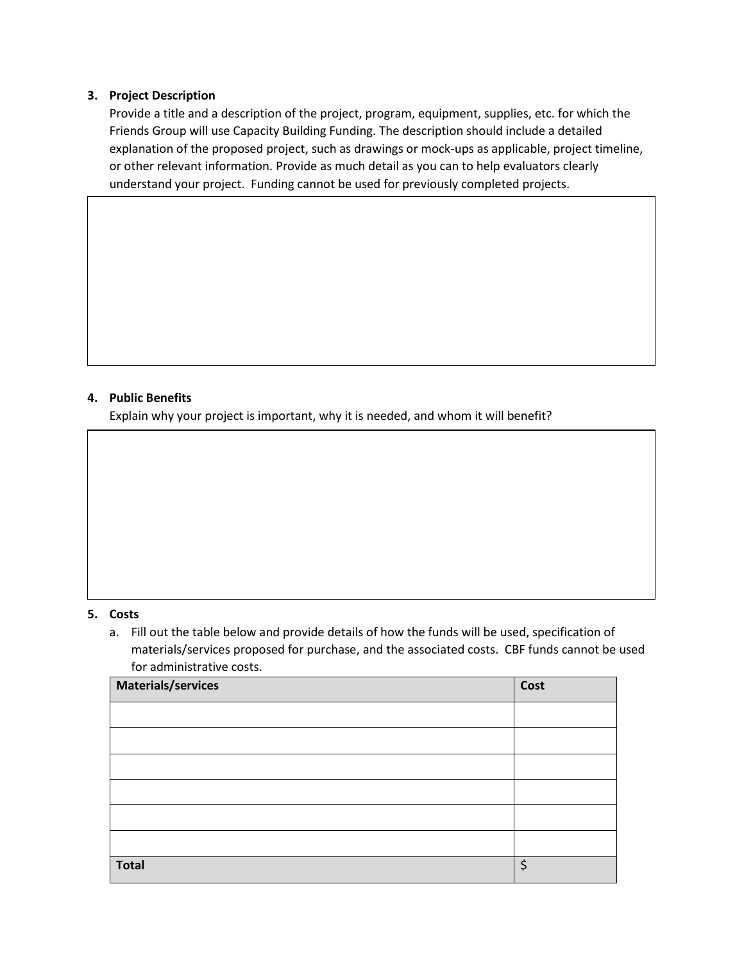### **3. Project Description**

Provide a title and a description of the project, program, equipment, supplies, etc. for which the Friends Group will use Capacity Building Funding. The description should include a detailed explanation of the proposed project, such as drawings or mock-ups as applicable, project timeline, or other relevant information. Provide as much detail as you can to help evaluators clearly understand your project. Funding cannot be used for previously completed projects.

## **4. Public Benefits**

Explain why your project is important, why it is needed, and whom it will benefit?

### **5. Costs**

a. Fill out the table below and provide details of how the funds will be used, specification of materials/services proposed for purchase, and the associated costs. CBF funds cannot be used for administrative costs.

| Materials/services | Cost |
|--------------------|------|
|                    |      |
|                    |      |
|                    |      |
|                    |      |
|                    |      |
|                    |      |
| <b>Total</b>       | Ś    |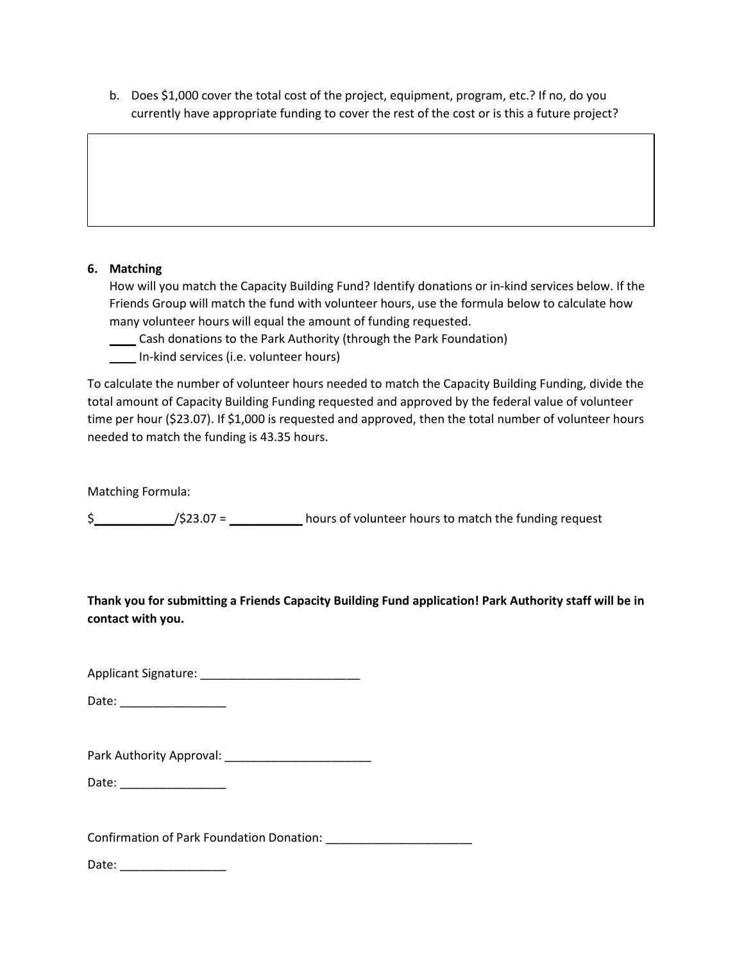b. Does \$1,000 cover the total cost of the project, equipment, program, etc.? If no, do you currently have appropriate funding to cover the rest of the cost or is this a future project?

## **6. Matching**

How will you match the Capacity Building Fund? Identify donations or in-kind services below. If the Friends Group will match the fund with volunteer hours, use the formula below to calculate how many volunteer hours will equal the amount of funding requested.

- \_\_\_\_ Cash donations to the Park Authority (through the Park Foundation)
- \_\_\_\_ In-kind services (i.e. volunteer hours)

To calculate the number of volunteer hours needed to match the Capacity Building Funding, divide the total amount of Capacity Building Funding requested and approved by the federal value of volunteer time per hour (\$23.07). If \$1,000 is requested and approved, then the total number of volunteer hours needed to match the funding is 43.35 hours.

Matching Formula:

 $\frac{1}{2}$  /\$23.07 = \_\_\_\_\_\_\_\_\_\_\_\_ hours of volunteer hours to match the funding request

**Thank you for submitting a Friends Capacity Building Fund application! Park Authority staff will be in contact with you.**

Applicant Signature: \_\_\_\_\_\_\_\_\_\_\_\_\_\_\_\_\_\_\_\_\_\_\_\_

Date: \_\_\_\_\_\_\_\_\_\_\_\_\_\_\_\_

| Park Authority Approval: |  |
|--------------------------|--|
|--------------------------|--|

Date: \_\_\_\_\_\_\_\_\_\_\_\_\_\_\_\_

Confirmation of Park Foundation Donation: \_\_\_\_\_\_\_\_\_\_\_\_\_\_\_\_\_\_\_\_\_\_

Date: \_\_\_\_\_\_\_\_\_\_\_\_\_\_\_\_